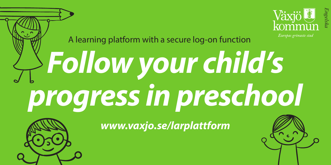



*www.vaxjo.se/larplattform*



*Engelska*